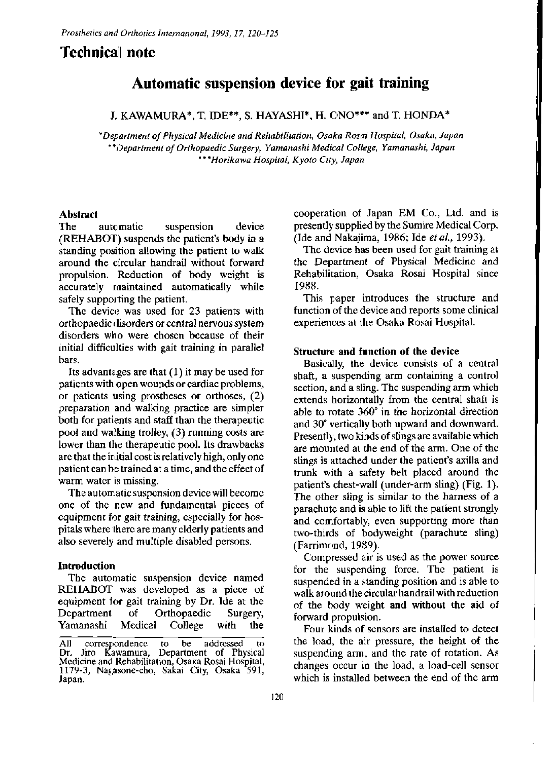# **Technical note**

# **Automatic suspension device for gait training**

J. KAWAMURA\*, T. IDE\*\*, S. HAYASHI\*, H. ONO\*\*\* and T. HONDA\*

*\*Department of Physical Medicine and Rehabilitation, Osaka Rosai Hospital, Osaka, Japan \*\*Department of Orthopaedic Surgery, Yamanashi Medical College, Yamanashi, Japan \*\*\*Horikawa Hospital, Kyoto City, Japan* 

# **Abstract**

The automatic suspension device (REHABOT) suspends the patient's body in a standing position allowing the patient to walk around the circular handrail without forward propulsion. Reduction of body weight is accurately maintained automatically while safely supporting the patient.

The device was used for 23 patients with orthopaedic disorders or central nervous system disorders who were chosen because of their initial difficulties with gait training in parallel bars.

Its advantages are that (1) it may be used for patients with open wounds or cardiac problems, or patients using prostheses or orthoses, (2) preparation and walking practice are simpler both for patients and staff than the therapeutic pool and walking trolley, (3) running costs are lower than the therapeutic pool. Its drawbacks are that the initial cost is relatively high, only one patient can be trained at a time, and the effect of warm water is missing.

The automatic suspension device will become one of the new and fundamental pieces of equipment for gait training, especially for hospitals where there are many elderly patients and also severely and multiple disabled persons.

### **Introduction**

The automatic suspension device named REHABOT was developed as a piece of equipment for gait training by Dr. Ide at the Department of Orthopaedic Surgery, Yamanashi Medical College with the cooperation of Japan EM Co., Ltd. and is presently supplied by the Sumire Medical Corp. (Ide and Nakajima, 1986; Ide *etal,* 1993).

The device has been used for gait training at the Department of Physical Medicine and Rehabilitation, Osaka Rosai Hospital since 1988.

This paper introduces the structure and function of the device and reports some clinical experiences at the Osaka Rosai Hospital.

# **Structure and function of the device**

Basically, the device consists of a central shaft, a suspending arm containing a control section, and a sling. The suspending arm which extends horizontally from the central shaft is able to rotate 360° in the horizontal direction and 30° vertically both upward and downward. Presently, two kinds of slings are available which are mounted at the end of the arm. One of the slings is attached under the patient's axilla and trunk with a safety belt placed around the patient's chest-wall (under-arm sling) (Fig. 1). The other sling is similar to the harness of a parachute and is able to lift the patient strongly and comfortably, even supporting more than two-thirds of bodyweight (parachute sling) (Farrimond, 1989).

Compressed air is used as the power source for the suspending force. The patient is suspended in a standing position and is able to walk around the circular handrail with reduction of the body weight and without the aid of forward propulsion.

Four kinds of sensors are installed to detect the load, the air pressure, the height of the suspending arm, and the rate of rotation. As changes occur in the load, a load-cell sensor which is installed between the end of the arm

**All correspondence to be addressed to Department** of Physical **Medicine and Rehabilitation, Osaka Rosai Hospital, 1179-3 , Nagasone-cho, Sakai City, Osaka 591 , Japan.**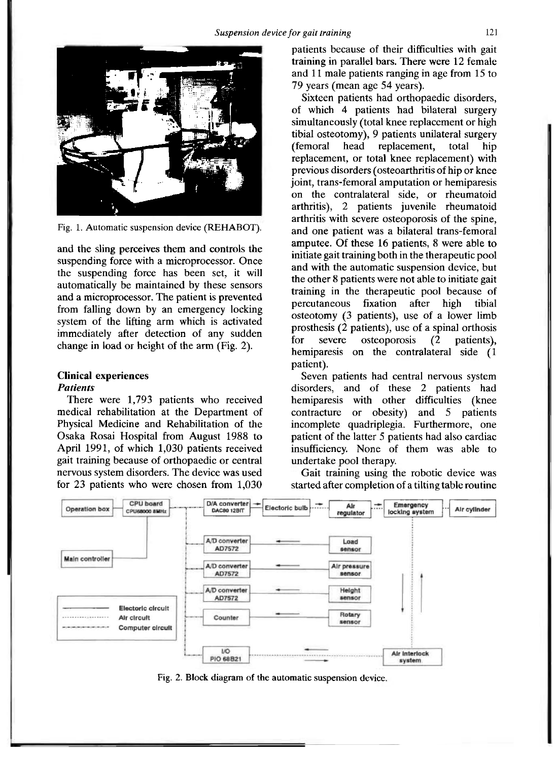

**Fig. 1. Automatic suspension device (REHABOT).** 

and the sling perceives them and controls the suspending force with a microprocessor. Once the suspending force has been set, it will automatically be maintained by these sensors and a microprocessor. The patient is prevented from falling down by an emergency locking system of the lifting arm which is activated immediately after detection of any sudden change in load or height of the arm (Fig. 2).

#### **Clinical experiences**  *Patients*

There were 1,793 patients who received medical rehabilitation at the Department of Physical Medicine and Rehabilitation of the Osaka Rosai Hospital from August 1988 to April 1991, of which 1,030 patients received gait training because of orthopaedic or central nervous system disorders. The device was used for 23 patients who were chosen from 1,030

patients because of their difficulties with gait training in parallel bars. There were 12 female and 11 male patients ranging in age from 15 to 79 years (mean age 54 years).

Sixteen patients had orthopaedic disorders, of which 4 patients had bilateral surgery simultaneously (total knee replacement or high tibial osteotomy), 9 patients unilateral surgery (femoral head replacement, total hip replacement, or total knee replacement) with previous disorders (osteoarthritis of hip or knee joint, trans-femoral amputation or hemiparesis on the contralateral side, or rheumatoid arthritis), 2 patients juvenile rheumatoid arthritis with severe osteoporosis of the spine, and one patient was a bilateral trans-femoral amputee. Of these 16 patients, 8 were able to initiate gait training both in the therapeutic pool and with the automatic suspension device, but the other 8 patients were not able to initiate gait training in the therapeutic pool because of percutaneous fixation after high tibial osteotomy (3 patients), use of a lower limb prosthesis (2 patients), use of a spinal orthosis for severe osteoporosis (2 patients), hemiparesis on the contralateral side (1 patient).

Seven patients had central nervous system disorders, and of these 2 patients had hemiparesis with other difficulties (knee contracture or obesity) and 5 patients incomplete quadriplegia. Furthermore, one patient of the latter 5 patients had also cardiac insufficiency. None of them was able to undertake pool therapy.

Gait training using the robotic device was started after completion of a tilting table routine



**Fig. 2. Block diagram of the automatic suspension device.**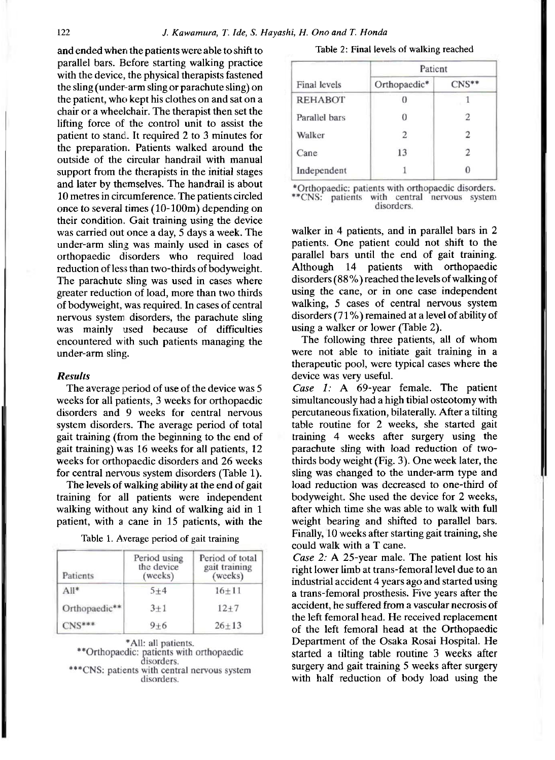and ended when the patients were able to shift to parallel bars. Before starting walking practice with the device, the physical therapists fastened the sling (under-arm sling or parachute sling) on the patient, who kept his clothes on and sat on a chair or a wheelchair. The therapist then set the lifting force of the control unit to assist the patient to stand.. It required 2 to 3 minutes for the preparation. Patients walked around the outside of the circular handrail with manual support from the therapists in the initial stages and later by themselves. The handrail is about 10 metres in circumference. The patients circled once to several times (10-100m) depending on their condition. Gait training using the device was carried out once a day, 5 days a week. The under-arm sling was mainly used in cases of orthopaedic disorders who required load reduction of less than two-thirds of bodyweight. The parachute sling was used in cases where greater reduction of load, more than two thirds of bodyweight, was required. In cases of central nervous system disorders, the parachute sling was mainly used because of difficulties encountered with such patients managing the under-arm sling.

#### *Results*

The average period of use of the device was 5 weeks for all patients, 3 weeks for orthopaedic disorders and 9 weeks for central nervous system disorders. The average period of total gait training (from the beginning to the end of gait training) was 16 weeks for all patients, 12 weeks for orthopaedic disorders and 26 weeks for central nervous system disorders (Table 1).

The levels of walking ability at the end of gait training for all patients were independent walking without any kind of walking aid in 1 patient, with a cane in 15 patients, with the

| Patients      | Period using<br>the device<br>( weeks) | Period of total<br>gait training<br>(weeks) |
|---------------|----------------------------------------|---------------------------------------------|
| $All*$        | $5 + 4$                                | $16 + 11$                                   |
| Orthopaedic** | $3 + 1$                                | $12 + 7$                                    |
|               | $9 + 6$                                | $26 + 13$                                   |

|  |  | Table 1. Average period of gait training |  |  |  |  |
|--|--|------------------------------------------|--|--|--|--|
|--|--|------------------------------------------|--|--|--|--|

\*All: all patients. \*\* Orthopaedic: patients with orthopaedic disorders. \*CNS: patients with central nervous system disorders.

|  |  |  |  |  | Table 2: Final levels of walking reached |  |
|--|--|--|--|--|------------------------------------------|--|
|--|--|--|--|--|------------------------------------------|--|

|                | Patient      |                         |  |  |
|----------------|--------------|-------------------------|--|--|
| Final levels   | Orthopaedic* | $CNS**$                 |  |  |
| <b>REHABOT</b> |              |                         |  |  |
| Parallel bars  |              | 2                       |  |  |
| Walker         |              |                         |  |  |
| Cane           | 13           | $\overline{\mathbf{c}}$ |  |  |
| Independent    |              |                         |  |  |

\*Orthopaedic: patients with orthopaedic disorders. \*\*CNS: patients with central nervous system disorders.

walker in 4 patients, and in parallel bars in 2 patients. One patient could not shift to the parallel bars until the end of gait training. Although 14 patients with orthopaedic disorders (88%) reached the levels of walking of using the cane, or in one case independent walking, 5 cases of central nervous system disorders (71 %) remained at a level of ability of using a walker or lower (Table 2).

The following three patients, all of whom were not able to initiate gait training in a therapeutic pool, were typical cases where the device was very useful.

*Case 1:* A 69-year female. The patient simultaneously had a high tibial osteotomy with percutaneous fixation, bilaterally. After a tilting table routine for 2 weeks, she started gait training 4 weeks after surgery using the parachute sling with load reduction of twothirds body weight (Fig. 3). One week later, the sling was changed to the under-arm type and load reduction was decreased to one-third of bodyweight. She used the device for 2 weeks, after which time she was able to walk with full weight bearing and shifted to parallel bars. Finally, 10 weeks after starting gait training, she could walk with a T cane.

*Case 2: A* 25-year male. The patient lost his right lower limb at trans-femoral level due to an industrial accident 4 years ago and started using a trans-femoral prosthesis. Five years after the accident, he suffered from a vascular necrosis of the left femoral head. He received replacement of the left femoral head at the Orthopaedic Department of the Osaka Rosai Hospital. He started a tilting table routine 3 weeks after surgery and gait training 5 weeks after surgery with half reduction of body load using the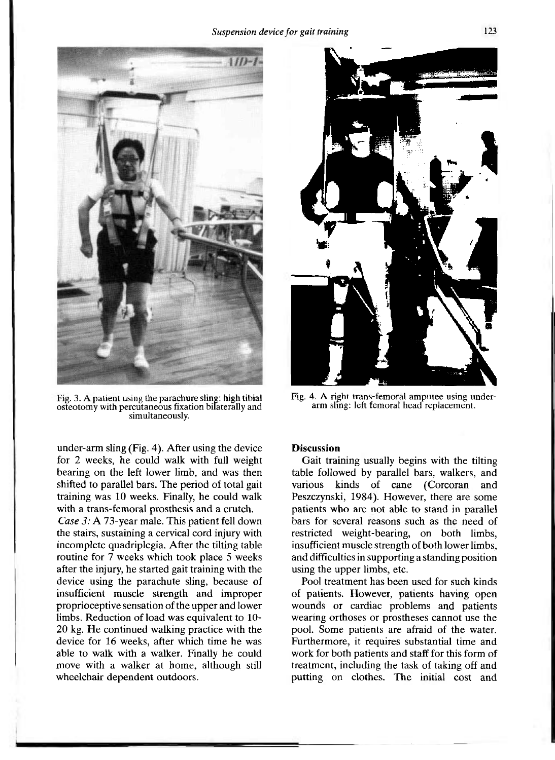

**Fig. 3. A patient using the parachure sling: high tibial osteotomy with percutaneous fixation bilaterally and simultaneously.** 

under-arm sling (Fig. 4). After using the device for 2 weeks, he could walk with full weight bearing on the left lower limb, and was then shifted to parallel bars. The period of total gait training was 10 weeks. Finally, he could walk with a trans-femoral prosthesis and a crutch.

*Case 3:* A 73-year male. This patient fell down the stairs, sustaining a cervical cord injury with incomplete quadriplegia. After the tilting table routine for 7 weeks which took place 5 weeks after the injury, he started gait training with the device using the parachute sling, because of insufficient muscle strength and improper proprioceptive sensation of the upper and lower limbs. Reduction of load was equivalent to 10- 20 kg. He continued walking practice with the device for 16 weeks, after which time he was able to walk with a walker. Finally he could move with a walker at home, although still wheelchair dependent outdoors.



Fig. 4. A right trans-femoral amputee using under**arm sling: left femoral head replacement.** 

### **Discussion**

Gait training usually begins with the tilting table followed by parallel bars, walkers, and various kinds of cane (Corcoran and Peszczynski, 1984). However, there are some patients who arc not able to stand in parallel bars for several reasons such as the need of restricted weight-bearing, on both limbs, insufficient muscle strength of both lower limbs, and difficulties in supporting a standing position using the upper limbs, etc

Pool treatment has been used for such kinds of patients. However, patients having open wounds or cardiac problems and patients wearing orthoses or prostheses cannot use the pool. Some patients are afraid of the water. Furthermore, it requires substantial time and work for both patients and staff for this form of treatment, including the task of taking off and putting on clothes. The initial cost and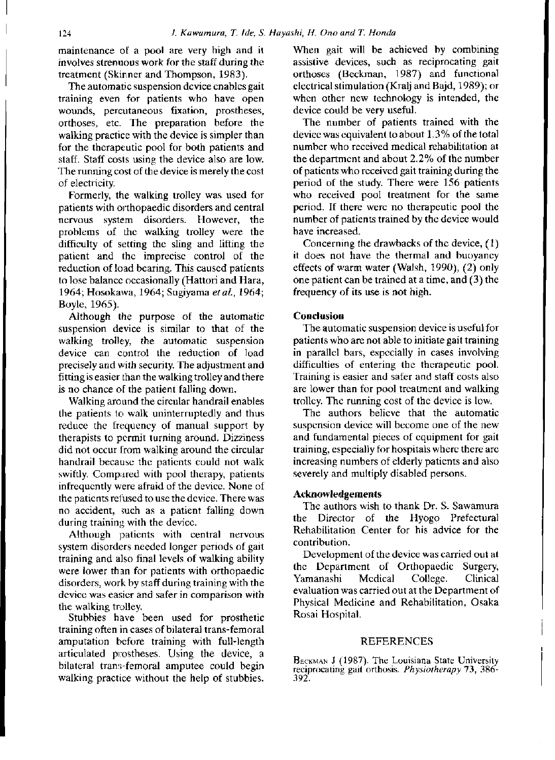maintenance of a pool are very high and it involves strenuous work for the staff during the treatment (Skinner and Thompson, 1983).

The automatic suspension device enables gait training even for patients who have open wounds, percutaneous fixation, prostheses, orthoses, etc. The preparation before the walking practice with the device is simpler than for the therapeutic pool for both patients and staff. Staff costs using the device also are low. The running cost of the device is merely the cost of electricity.

Formerly, the walking trolley was used for patients with orthopaedic disorders and central nervous system disorders. However, the problems of the walking trolley were the difficulty of setting the sling and lifting the patient and the imprecise control of the reduction of load bearing. This caused patients to lose balance occasionally (Hattori and Hara, 1964; Hosokawa, 1964; Sugiyama *et ai,* 1964; Boyle, 1965).

Although the purpose of the automatic suspension device is similar to that of the walking trolley, the automatic suspension device can control the reduction of load precisely and with security. The adjustment and fitting is easier than the walking trolley and there is no chance of the patient falling down.

Walking around the circular handrail enables the patients to walk uninterruptedly and thus reduce the frequency of manual support by therapists to permit turning around. Dizziness did not occur from walking around the circular handrail because the patients could not walk swiftly. Compared with pool therapy, patients infrequently were afraid of the device. None of the patients refused to use the device. There was no accident, such as a patient falling down during training with the device.

Although patients with central nervous system disorders needed longer periods of gait training and also final levels of walking ability were lower than for patients with orthopaedic disorders, work by staff during training with the device was easier and safer in comparison with the walking trolley.

Stubbies have been used for prosthetic training often in cases of bilateral trans-femoral amputation before training with full-length articulated prostheses. Using the device, a bilateral trans-femoral amputee could begin walking practice without the help of stubbies. When gait will be achieved by combining assistive devices, such as reciprocating gait orthoses (Beckman, 1987) and functional electrical stimulation (Kralj and Bajd, 1989); or when other new technology is intended, the device could be very useful.

The number of patients trained with the device was equivalent to about 1.3% of the total number who received medical rehabilitation at the department and about 2.2% of the number of patients who received gait training during the period of the study. There were 156 patients who received pool treatment for the same period. If there were no therapeutic pool the number of patients trained by the device would have increased.

Concerning the drawbacks of the device, (1) it does not have the thermal and buoyancy effects of warm water (Walsh, 1990), (2) only one patient can be trained at a time, and (3) the frequency of its use is not high.

# Conclusion

The automatic suspension device is useful for patients who are not able to initiate gait training in parallel bars, especially in cases involving difficulties of entering the therapeutic pool. Training is easier and safer and staff costs also are lower than for pool treatment and walking trolley. The running cost of the device is low.

The authors believe that the automatic suspension device will become one of the new and fundamental pieces of equipment for gait training, especially for hospitals where there are increasing numbers of elderly patients and also severely and multiply disabled persons.

#### Acknowledgements

The authors wish to thank Dr. S. Sawamura the Director of the Hyogo Prefectural Rehabilitation Center for his advice for the contribution.

Development of the device was carried out at the Department of Orthopaedic Surgery, Yamanashi Medical College. Clinical evaluation was carried out at the Department of Physical Medicine and Rehabilitation, Osaka Rosai Hospital.

#### REFERENCES

**BECKMAN J (1987). The Louisiana State University reciprocating gait orthosis.** *Physiotherapy* **73 , 386- 392.**